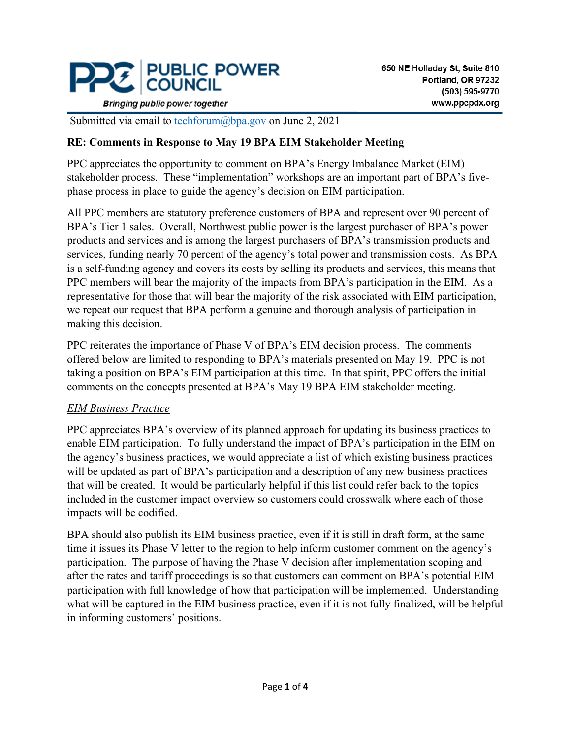

**Bringing public power together** 

Submitted via email to **techforum**@bpa.gov on June 2, 2021

#### **RE: Comments in Response to May 19 BPA EIM Stakeholder Meeting**

PPC appreciates the opportunity to comment on BPA's Energy Imbalance Market (EIM) stakeholder process. These "implementation" workshops are an important part of BPA's fivephase process in place to guide the agency's decision on EIM participation.

All PPC members are statutory preference customers of BPA and represent over 90 percent of BPA's Tier 1 sales. Overall, Northwest public power is the largest purchaser of BPA's power products and services and is among the largest purchasers of BPA's transmission products and services, funding nearly 70 percent of the agency's total power and transmission costs. As BPA is a self-funding agency and covers its costs by selling its products and services, this means that PPC members will bear the majority of the impacts from BPA's participation in the EIM. As a representative for those that will bear the majority of the risk associated with EIM participation, we repeat our request that BPA perform a genuine and thorough analysis of participation in making this decision.

PPC reiterates the importance of Phase V of BPA's EIM decision process. The comments offered below are limited to responding to BPA's materials presented on May 19. PPC is not taking a position on BPA's EIM participation at this time. In that spirit, PPC offers the initial comments on the concepts presented at BPA's May 19 BPA EIM stakeholder meeting.

#### *EIM Business Practice*

PPC appreciates BPA's overview of its planned approach for updating its business practices to enable EIM participation. To fully understand the impact of BPA's participation in the EIM on the agency's business practices, we would appreciate a list of which existing business practices will be updated as part of BPA's participation and a description of any new business practices that will be created. It would be particularly helpful if this list could refer back to the topics included in the customer impact overview so customers could crosswalk where each of those impacts will be codified.

BPA should also publish its EIM business practice, even if it is still in draft form, at the same time it issues its Phase V letter to the region to help inform customer comment on the agency's participation. The purpose of having the Phase V decision after implementation scoping and after the rates and tariff proceedings is so that customers can comment on BPA's potential EIM participation with full knowledge of how that participation will be implemented. Understanding what will be captured in the EIM business practice, even if it is not fully finalized, will be helpful in informing customers' positions.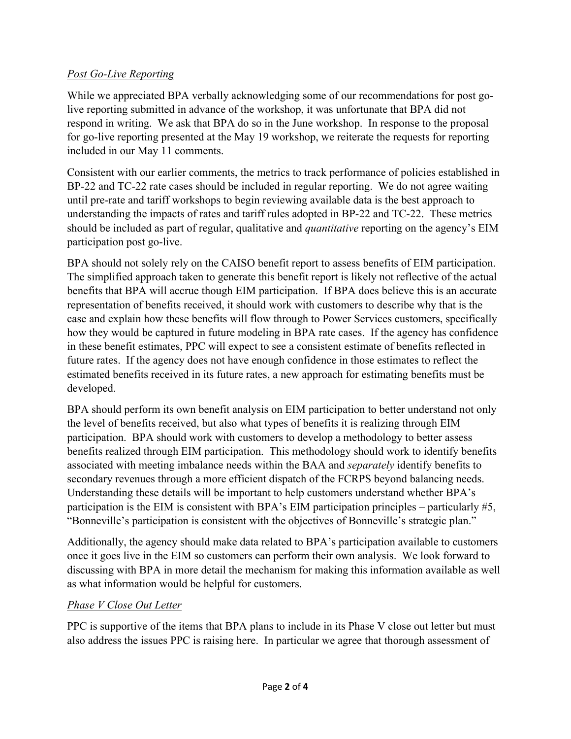## *Post Go-Live Reporting*

While we appreciated BPA verbally acknowledging some of our recommendations for post golive reporting submitted in advance of the workshop, it was unfortunate that BPA did not respond in writing. We ask that BPA do so in the June workshop. In response to the proposal for go-live reporting presented at the May 19 workshop, we reiterate the requests for reporting included in our May 11 comments.

Consistent with our earlier comments, the metrics to track performance of policies established in BP-22 and TC-22 rate cases should be included in regular reporting. We do not agree waiting until pre-rate and tariff workshops to begin reviewing available data is the best approach to understanding the impacts of rates and tariff rules adopted in BP-22 and TC-22. These metrics should be included as part of regular, qualitative and *quantitative* reporting on the agency's EIM participation post go-live.

BPA should not solely rely on the CAISO benefit report to assess benefits of EIM participation. The simplified approach taken to generate this benefit report is likely not reflective of the actual benefits that BPA will accrue though EIM participation. If BPA does believe this is an accurate representation of benefits received, it should work with customers to describe why that is the case and explain how these benefits will flow through to Power Services customers, specifically how they would be captured in future modeling in BPA rate cases. If the agency has confidence in these benefit estimates, PPC will expect to see a consistent estimate of benefits reflected in future rates. If the agency does not have enough confidence in those estimates to reflect the estimated benefits received in its future rates, a new approach for estimating benefits must be developed.

BPA should perform its own benefit analysis on EIM participation to better understand not only the level of benefits received, but also what types of benefits it is realizing through EIM participation. BPA should work with customers to develop a methodology to better assess benefits realized through EIM participation. This methodology should work to identify benefits associated with meeting imbalance needs within the BAA and *separately* identify benefits to secondary revenues through a more efficient dispatch of the FCRPS beyond balancing needs. Understanding these details will be important to help customers understand whether BPA's participation is the EIM is consistent with BPA's EIM participation principles – particularly #5, "Bonneville's participation is consistent with the objectives of Bonneville's strategic plan."

Additionally, the agency should make data related to BPA's participation available to customers once it goes live in the EIM so customers can perform their own analysis. We look forward to discussing with BPA in more detail the mechanism for making this information available as well as what information would be helpful for customers.

## *Phase V Close Out Letter*

PPC is supportive of the items that BPA plans to include in its Phase V close out letter but must also address the issues PPC is raising here. In particular we agree that thorough assessment of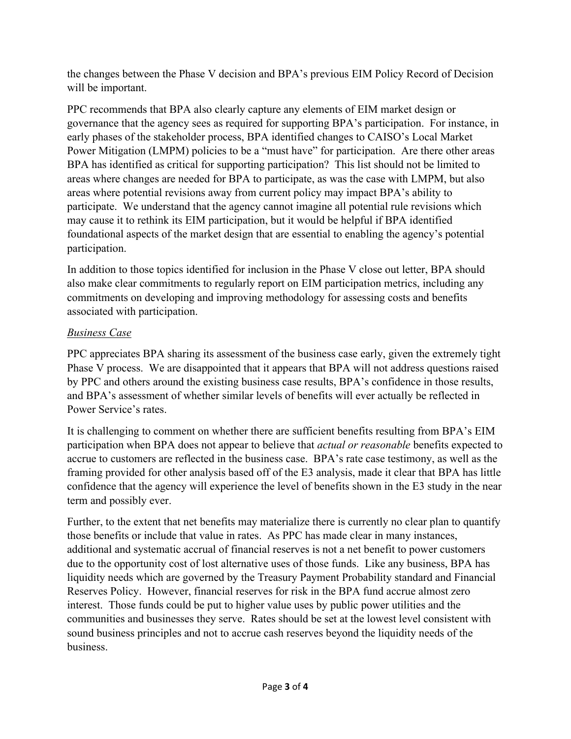the changes between the Phase V decision and BPA's previous EIM Policy Record of Decision will be important.

PPC recommends that BPA also clearly capture any elements of EIM market design or governance that the agency sees as required for supporting BPA's participation. For instance, in early phases of the stakeholder process, BPA identified changes to CAISO's Local Market Power Mitigation (LMPM) policies to be a "must have" for participation. Are there other areas BPA has identified as critical for supporting participation? This list should not be limited to areas where changes are needed for BPA to participate, as was the case with LMPM, but also areas where potential revisions away from current policy may impact BPA's ability to participate. We understand that the agency cannot imagine all potential rule revisions which may cause it to rethink its EIM participation, but it would be helpful if BPA identified foundational aspects of the market design that are essential to enabling the agency's potential participation.

In addition to those topics identified for inclusion in the Phase V close out letter, BPA should also make clear commitments to regularly report on EIM participation metrics, including any commitments on developing and improving methodology for assessing costs and benefits associated with participation.

# *Business Case*

PPC appreciates BPA sharing its assessment of the business case early, given the extremely tight Phase V process. We are disappointed that it appears that BPA will not address questions raised by PPC and others around the existing business case results, BPA's confidence in those results, and BPA's assessment of whether similar levels of benefits will ever actually be reflected in Power Service's rates.

It is challenging to comment on whether there are sufficient benefits resulting from BPA's EIM participation when BPA does not appear to believe that *actual or reasonable* benefits expected to accrue to customers are reflected in the business case. BPA's rate case testimony, as well as the framing provided for other analysis based off of the E3 analysis, made it clear that BPA has little confidence that the agency will experience the level of benefits shown in the E3 study in the near term and possibly ever.

Further, to the extent that net benefits may materialize there is currently no clear plan to quantify those benefits or include that value in rates. As PPC has made clear in many instances, additional and systematic accrual of financial reserves is not a net benefit to power customers due to the opportunity cost of lost alternative uses of those funds. Like any business, BPA has liquidity needs which are governed by the Treasury Payment Probability standard and Financial Reserves Policy. However, financial reserves for risk in the BPA fund accrue almost zero interest. Those funds could be put to higher value uses by public power utilities and the communities and businesses they serve. Rates should be set at the lowest level consistent with sound business principles and not to accrue cash reserves beyond the liquidity needs of the business.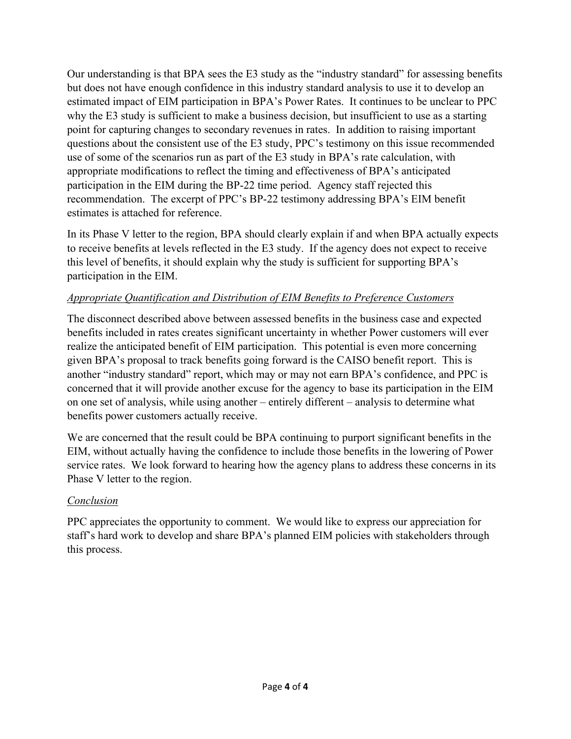Our understanding is that BPA sees the E3 study as the "industry standard" for assessing benefits but does not have enough confidence in this industry standard analysis to use it to develop an estimated impact of EIM participation in BPA's Power Rates. It continues to be unclear to PPC why the E3 study is sufficient to make a business decision, but insufficient to use as a starting point for capturing changes to secondary revenues in rates. In addition to raising important questions about the consistent use of the E3 study, PPC's testimony on this issue recommended use of some of the scenarios run as part of the E3 study in BPA's rate calculation, with appropriate modifications to reflect the timing and effectiveness of BPA's anticipated participation in the EIM during the BP-22 time period. Agency staff rejected this recommendation. The excerpt of PPC's BP-22 testimony addressing BPA's EIM benefit estimates is attached for reference.

In its Phase V letter to the region, BPA should clearly explain if and when BPA actually expects to receive benefits at levels reflected in the E3 study. If the agency does not expect to receive this level of benefits, it should explain why the study is sufficient for supporting BPA's participation in the EIM.

#### *Appropriate Quantification and Distribution of EIM Benefits to Preference Customers*

The disconnect described above between assessed benefits in the business case and expected benefits included in rates creates significant uncertainty in whether Power customers will ever realize the anticipated benefit of EIM participation. This potential is even more concerning given BPA's proposal to track benefits going forward is the CAISO benefit report. This is another "industry standard" report, which may or may not earn BPA's confidence, and PPC is concerned that it will provide another excuse for the agency to base its participation in the EIM on one set of analysis, while using another – entirely different – analysis to determine what benefits power customers actually receive.

We are concerned that the result could be BPA continuing to purport significant benefits in the EIM, without actually having the confidence to include those benefits in the lowering of Power service rates. We look forward to hearing how the agency plans to address these concerns in its Phase V letter to the region.

## *Conclusion*

PPC appreciates the opportunity to comment. We would like to express our appreciation for staff's hard work to develop and share BPA's planned EIM policies with stakeholders through this process.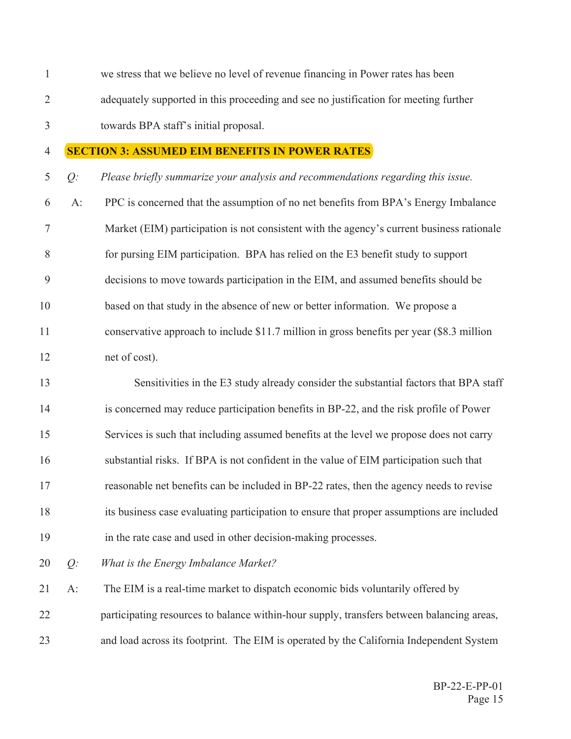$\mathbf{1}$ we stress that we believe no level of revenue financing in Power rates has been  $\overline{2}$ adequately supported in this proceeding and see no justification for meeting further  $\mathfrak{Z}$ towards BPA staff's initial proposal.

#### $\overline{4}$ **SECTION 3: ASSUMED EIM BENEFITS IN POWER RATES**

5  $Q$ : Please briefly summarize your analysis and recommendations regarding this issue.

- 6  $A$ : PPC is concerned that the assumption of no net benefits from BPA's Energy Imbalance  $\tau$ Market (EIM) participation is not consistent with the agency's current business rationale 8 for pursing EIM participation. BPA has relied on the E3 benefit study to support 9 decisions to move towards participation in the EIM, and assumed benefits should be 10 based on that study in the absence of new or better information. We propose a 11 conservative approach to include \$11.7 million in gross benefits per year (\$8.3 million 12 net of cost).
- 13 Sensitivities in the E3 study already consider the substantial factors that BPA staff  $14$ is concerned may reduce participation benefits in BP-22, and the risk profile of Power 15 Services is such that including assumed benefits at the level we propose does not carry 16 substantial risks. If BPA is not confident in the value of EIM participation such that 17 reasonable net benefits can be included in BP-22 rates, then the agency needs to revise 18 its business case evaluating participation to ensure that proper assumptions are included 19 in the rate case and used in other decision-making processes.
- 20  $Q$ : What is the Energy Imbalance Market?

The EIM is a real-time market to dispatch economic bids voluntarily offered by 21  $A$ : 22 participating resources to balance within-hour supply, transfers between balancing areas, 23 and load across its footprint. The EIM is operated by the California Independent System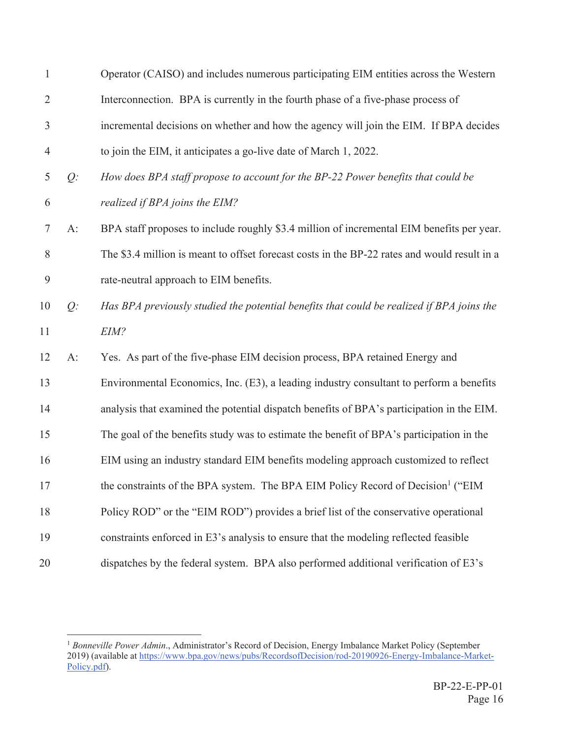| $\mathbf{1}$   |       | Operator (CAISO) and includes numerous participating EIM entities across the Western         |
|----------------|-------|----------------------------------------------------------------------------------------------|
| 2              |       | Interconnection. BPA is currently in the fourth phase of a five-phase process of             |
| 3              |       | incremental decisions on whether and how the agency will join the EIM. If BPA decides        |
| $\overline{4}$ |       | to join the EIM, it anticipates a go-live date of March 1, 2022.                             |
| 5              | $Q$ : | How does BPA staff propose to account for the BP-22 Power benefits that could be             |
| 6              |       | realized if BPA joins the EIM?                                                               |
| $\tau$         | $A$ : | BPA staff proposes to include roughly \$3.4 million of incremental EIM benefits per year.    |
| 8              |       | The \$3.4 million is meant to offset forecast costs in the BP-22 rates and would result in a |
| 9              |       | rate-neutral approach to EIM benefits.                                                       |
| 10             | $Q$ : | Has BPA previously studied the potential benefits that could be realized if BPA joins the    |
| 11             |       | EIM?                                                                                         |
| 12             | $A$ : | Yes. As part of the five-phase EIM decision process, BPA retained Energy and                 |
| 13             |       | Environmental Economics, Inc. (E3), a leading industry consultant to perform a benefits      |
| 14             |       | analysis that examined the potential dispatch benefits of BPA's participation in the EIM.    |
| 15             |       | The goal of the benefits study was to estimate the benefit of BPA's participation in the     |
| 16             |       | EIM using an industry standard EIM benefits modeling approach customized to reflect          |
| 17             |       | the constraints of the BPA system. The BPA EIM Policy Record of Decision <sup>1</sup> ("EIM  |
| 18             |       | Policy ROD" or the "EIM ROD") provides a brief list of the conservative operational          |
| 19             |       | constraints enforced in E3's analysis to ensure that the modeling reflected feasible         |
| 20             |       | dispatches by the federal system. BPA also performed additional verification of E3's         |

<sup>&</sup>lt;sup>1</sup> Bonneville Power Admin., Administrator's Record of Decision, Energy Imbalance Market Policy (September 2019) (available at https://www.bpa.gov/news/pubs/RecordsofDecision/rod-20190926-Energy-Imbalance-Market-Policy.pdf).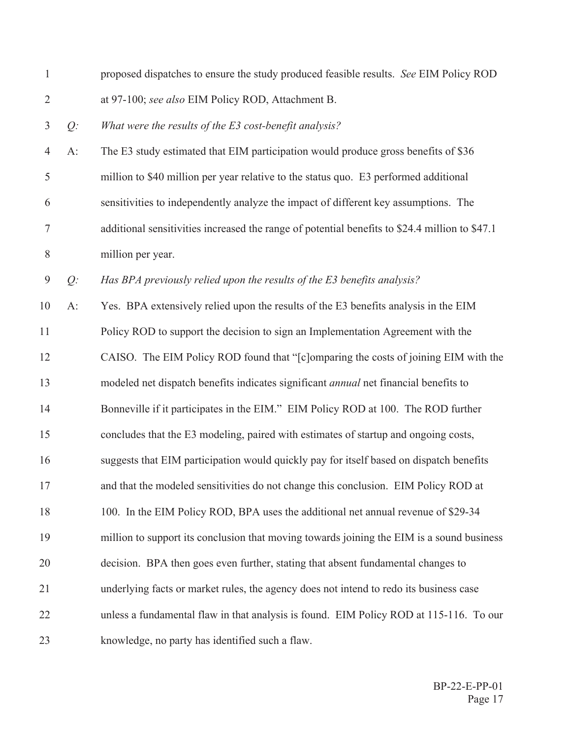| $\mathbf{1}$   |       | proposed dispatches to ensure the study produced feasible results. See EIM Policy ROD          |
|----------------|-------|------------------------------------------------------------------------------------------------|
| $\overline{2}$ |       | at 97-100; see also EIM Policy ROD, Attachment B.                                              |
| 3              | $Q$ : | What were the results of the $E3$ cost-benefit analysis?                                       |
| $\overline{4}$ | $A$ : | The E3 study estimated that EIM participation would produce gross benefits of \$36             |
| 5              |       | million to \$40 million per year relative to the status quo. E3 performed additional           |
| 6              |       | sensitivities to independently analyze the impact of different key assumptions. The            |
| 7              |       | additional sensitivities increased the range of potential benefits to \$24.4 million to \$47.1 |
| $8\phantom{1}$ |       | million per year.                                                                              |
| 9              | Q:    | Has BPA previously relied upon the results of the E3 benefits analysis?                        |
| 10             | A:    | Yes. BPA extensively relied upon the results of the E3 benefits analysis in the EIM            |
| 11             |       | Policy ROD to support the decision to sign an Implementation Agreement with the                |
| 12             |       | CAISO. The EIM Policy ROD found that "[c]omparing the costs of joining EIM with the            |
| 13             |       | modeled net dispatch benefits indicates significant <i>annual</i> net financial benefits to    |
| 14             |       | Bonneville if it participates in the EIM." EIM Policy ROD at 100. The ROD further              |
| 15             |       | concludes that the E3 modeling, paired with estimates of startup and ongoing costs,            |
| 16             |       | suggests that EIM participation would quickly pay for itself based on dispatch benefits        |
| 17             |       | and that the modeled sensitivities do not change this conclusion. EIM Policy ROD at            |
| 18             |       | 100. In the EIM Policy ROD, BPA uses the additional net annual revenue of \$29-34              |
| 19             |       | million to support its conclusion that moving towards joining the EIM is a sound business      |
| 20             |       | decision. BPA then goes even further, stating that absent fundamental changes to               |
| 21             |       | underlying facts or market rules, the agency does not intend to redo its business case         |
| 22             |       | unless a fundamental flaw in that analysis is found. EIM Policy ROD at 115-116. To our         |
| 23             |       | knowledge, no party has identified such a flaw.                                                |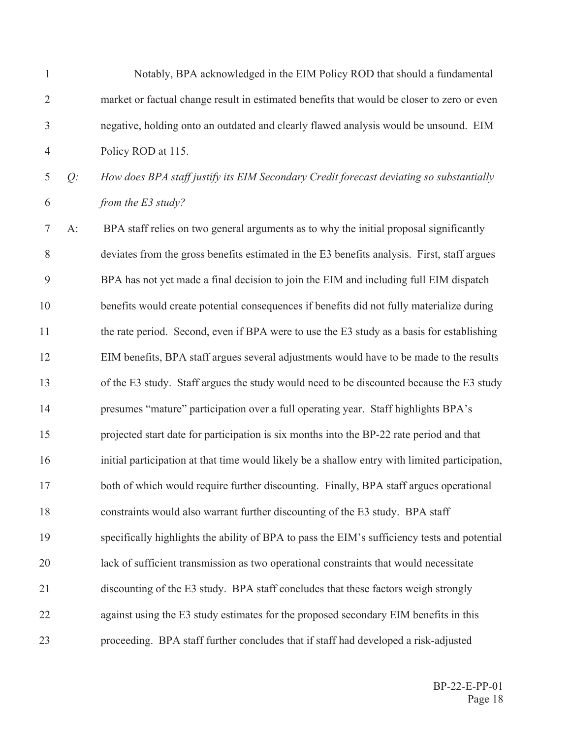| $\mathbf{1}$   |       | Notably, BPA acknowledged in the EIM Policy ROD that should a fundamental                      |
|----------------|-------|------------------------------------------------------------------------------------------------|
| $\overline{2}$ |       | market or factual change result in estimated benefits that would be closer to zero or even     |
| $\mathfrak{Z}$ |       | negative, holding onto an outdated and clearly flawed analysis would be unsound. EIM           |
| $\overline{4}$ |       | Policy ROD at 115.                                                                             |
| $\mathfrak{S}$ | $Q$ : | How does BPA staff justify its EIM Secondary Credit forecast deviating so substantially        |
| 6              |       | from the E3 study?                                                                             |
| 7              | $A$ : | BPA staff relies on two general arguments as to why the initial proposal significantly         |
| $8\,$          |       | deviates from the gross benefits estimated in the E3 benefits analysis. First, staff argues    |
| 9              |       | BPA has not yet made a final decision to join the EIM and including full EIM dispatch          |
| 10             |       | benefits would create potential consequences if benefits did not fully materialize during      |
| 11             |       | the rate period. Second, even if BPA were to use the E3 study as a basis for establishing      |
| 12             |       | EIM benefits, BPA staff argues several adjustments would have to be made to the results        |
| 13             |       | of the E3 study. Staff argues the study would need to be discounted because the E3 study       |
| 14             |       | presumes "mature" participation over a full operating year. Staff highlights BPA's             |
| 15             |       | projected start date for participation is six months into the BP-22 rate period and that       |
| 16             |       | initial participation at that time would likely be a shallow entry with limited participation, |
| 17             |       | both of which would require further discounting. Finally, BPA staff argues operational         |
| 18             |       | constraints would also warrant further discounting of the E3 study. BPA staff                  |
| 19             |       | specifically highlights the ability of BPA to pass the EIM's sufficiency tests and potential   |
| 20             |       | lack of sufficient transmission as two operational constraints that would necessitate          |
| 21             |       | discounting of the E3 study. BPA staff concludes that these factors weigh strongly             |
| 22             |       | against using the E3 study estimates for the proposed secondary EIM benefits in this           |
| 23             |       | proceeding. BPA staff further concludes that if staff had developed a risk-adjusted            |
|                |       |                                                                                                |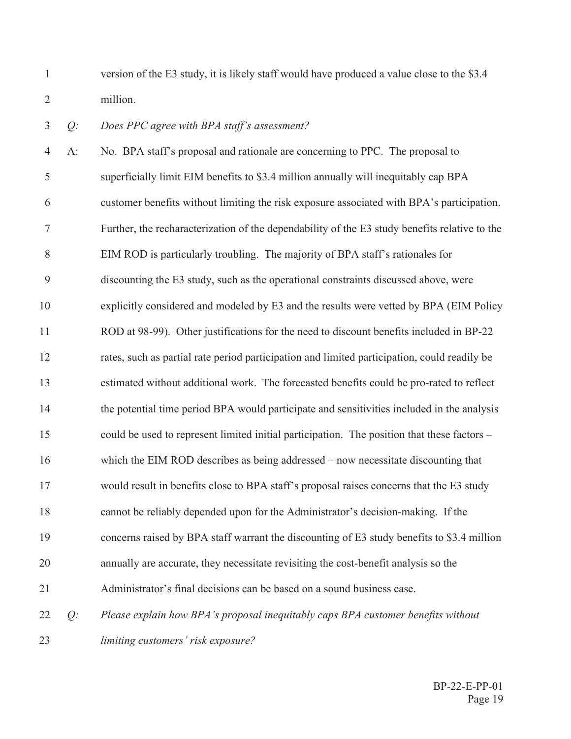$\mathbf{1}$ version of the E3 study, it is likely staff would have produced a value close to the \$3.4  $\overline{2}$ million.

#### $\overline{3}$ Does PPC agree with BPA staff's assessment?  $Q$ :

 $\overline{4}$  $A$ : No. BPA staff's proposal and rationale are concerning to PPC. The proposal to 5 superficially limit EIM benefits to \$3.4 million annually will inequitably cap BPA 6 customer benefits without limiting the risk exposure associated with BPA's participation.  $\tau$ Further, the recharacterization of the dependability of the E3 study benefits relative to the 8 EIM ROD is particularly troubling. The majority of BPA staff's rationales for 9 discounting the E3 study, such as the operational constraints discussed above, were 10 explicitly considered and modeled by E3 and the results were vetted by BPA (EIM Policy 11 ROD at 98-99). Other justifications for the need to discount benefits included in BP-22 12 rates, such as partial rate period participation and limited participation, could readily be estimated without additional work. The forecasted benefits could be pro-rated to reflect 13  $14$ the potential time period BPA would participate and sensitivities included in the analysis 15 could be used to represent limited initial participation. The position that these factors – 16 which the EIM ROD describes as being addressed – now necessitate discounting that 17 would result in benefits close to BPA staff's proposal raises concerns that the E3 study 18 cannot be reliably depended upon for the Administrator's decision-making. If the 19 concerns raised by BPA staff warrant the discounting of E3 study benefits to \$3.4 million 20 annually are accurate, they necessitate revisiting the cost-benefit analysis so the Administrator's final decisions can be based on a sound business case. 21 Please explain how BPA's proposal inequitably caps BPA customer benefits without 22  $Q$ : 23 limiting customers' risk exposure?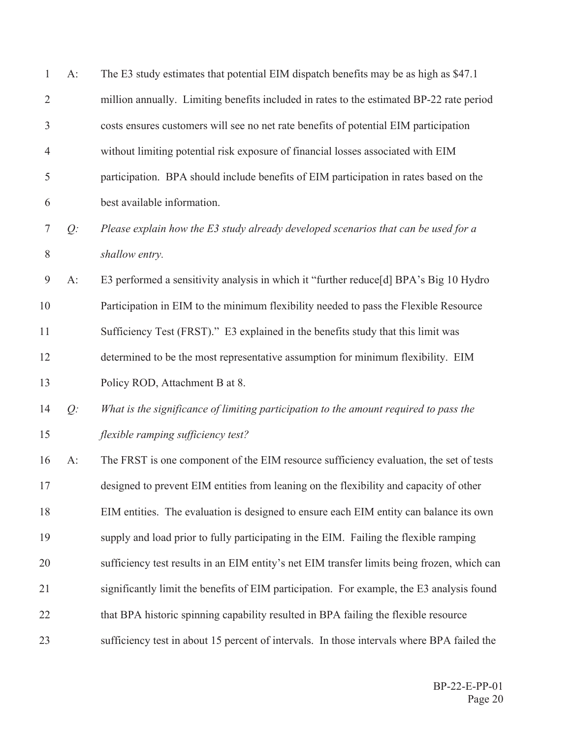| 1              | $A$ : | The E3 study estimates that potential EIM dispatch benefits may be as high as \$47.1        |
|----------------|-------|---------------------------------------------------------------------------------------------|
| $\overline{2}$ |       | million annually. Limiting benefits included in rates to the estimated BP-22 rate period    |
| $\mathfrak{Z}$ |       | costs ensures customers will see no net rate benefits of potential EIM participation        |
| $\overline{4}$ |       | without limiting potential risk exposure of financial losses associated with EIM            |
| 5              |       | participation. BPA should include benefits of EIM participation in rates based on the       |
| 6              |       | best available information.                                                                 |
| $\tau$         | $Q$ : | Please explain how the E3 study already developed scenarios that can be used for a          |
| 8              |       | shallow entry.                                                                              |
| 9              | A:    | E3 performed a sensitivity analysis in which it "further reduce[d] BPA's Big 10 Hydro       |
| 10             |       | Participation in EIM to the minimum flexibility needed to pass the Flexible Resource        |
| 11             |       | Sufficiency Test (FRST)." E3 explained in the benefits study that this limit was            |
| 12             |       | determined to be the most representative assumption for minimum flexibility. EIM            |
| 13             |       | Policy ROD, Attachment B at 8.                                                              |
| 14             | $Q$ : | What is the significance of limiting participation to the amount required to pass the       |
| 15             |       | flexible ramping sufficiency test?                                                          |
| 16             | $A$ : | The FRST is one component of the EIM resource sufficiency evaluation, the set of tests      |
| 17             |       | designed to prevent EIM entities from leaning on the flexibility and capacity of other      |
| 18             |       | EIM entities. The evaluation is designed to ensure each EIM entity can balance its own      |
| 19             |       | supply and load prior to fully participating in the EIM. Failing the flexible ramping       |
| 20             |       | sufficiency test results in an EIM entity's net EIM transfer limits being frozen, which can |
| 21             |       | significantly limit the benefits of EIM participation. For example, the E3 analysis found   |
| 22             |       | that BPA historic spinning capability resulted in BPA failing the flexible resource         |
| 23             |       | sufficiency test in about 15 percent of intervals. In those intervals where BPA failed the  |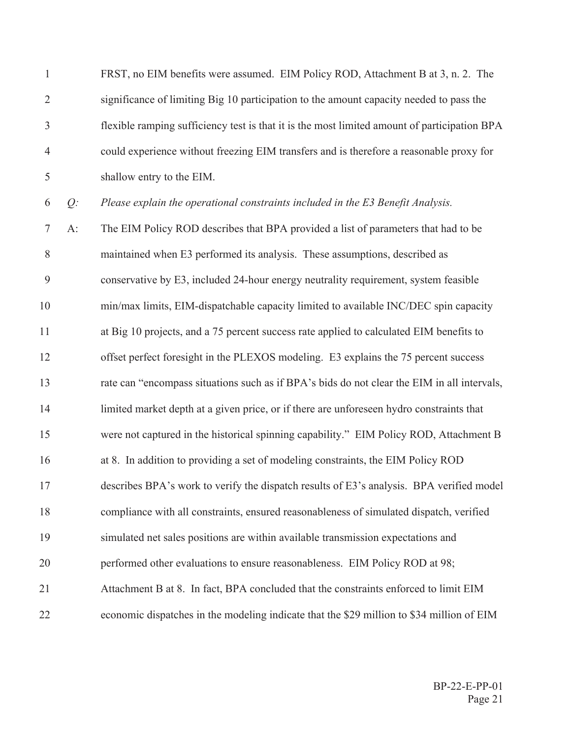| $\mathbf{1}$   |       | FRST, no EIM benefits were assumed. EIM Policy ROD, Attachment B at 3, n. 2. The             |
|----------------|-------|----------------------------------------------------------------------------------------------|
| $\overline{2}$ |       | significance of limiting Big 10 participation to the amount capacity needed to pass the      |
| $\mathfrak{Z}$ |       | flexible ramping sufficiency test is that it is the most limited amount of participation BPA |
| $\overline{4}$ |       | could experience without freezing EIM transfers and is therefore a reasonable proxy for      |
| 5              |       | shallow entry to the EIM.                                                                    |
| 6              | $Q$ : | Please explain the operational constraints included in the E3 Benefit Analysis.              |
| 7              | $A$ : | The EIM Policy ROD describes that BPA provided a list of parameters that had to be           |
| $8\,$          |       | maintained when E3 performed its analysis. These assumptions, described as                   |
| 9              |       | conservative by E3, included 24-hour energy neutrality requirement, system feasible          |
| $10\,$         |       | min/max limits, EIM-dispatchable capacity limited to available INC/DEC spin capacity         |
| 11             |       | at Big 10 projects, and a 75 percent success rate applied to calculated EIM benefits to      |
| 12             |       | offset perfect foresight in the PLEXOS modeling. E3 explains the 75 percent success          |
| 13             |       | rate can "encompass situations such as if BPA's bids do not clear the EIM in all intervals,  |
| 14             |       | limited market depth at a given price, or if there are unforeseen hydro constraints that     |
| 15             |       | were not captured in the historical spinning capability." EIM Policy ROD, Attachment B       |
| 16             |       | at 8. In addition to providing a set of modeling constraints, the EIM Policy ROD             |
| 17             |       | describes BPA's work to verify the dispatch results of E3's analysis. BPA verified model     |
| 18             |       | compliance with all constraints, ensured reasonableness of simulated dispatch, verified      |
| 19             |       | simulated net sales positions are within available transmission expectations and             |

- 20 performed other evaluations to ensure reasonableness. EIM Policy ROD at 98;
- 21 Attachment B at 8. In fact, BPA concluded that the constraints enforced to limit EIM
- 22 economic dispatches in the modeling indicate that the \$29 million to \$34 million of EIM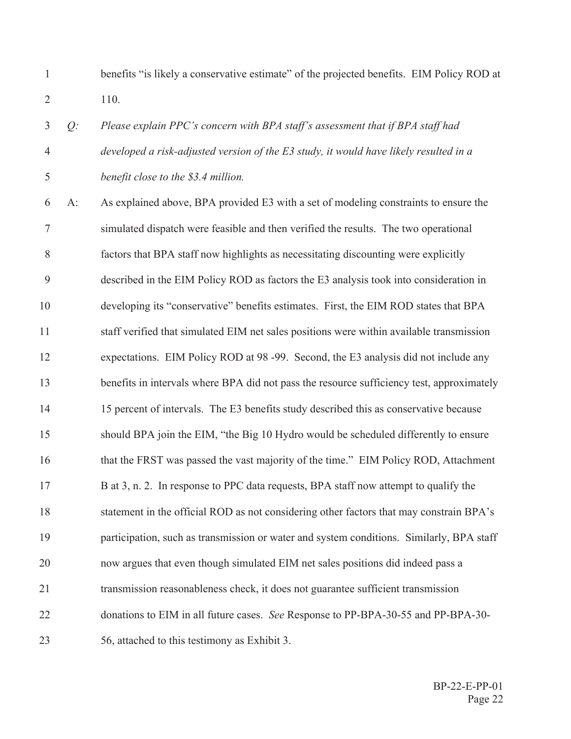1 benefits "is likely a conservative estimate" of the projected benefits. EIM Policy ROD at 2 110.

 *Q: Please explain PPC's concern with BPA staff's assessment that if BPA staff had developed a risk-adjusted version of the E3 study, it would have likely resulted in a benefit close to the \$3.4 million.* 

 $\delta$  A: As explained above, BPA provided E3 with a set of modeling constraints to ensure the The simulated dispatch were feasible and then verified the results. The two operational 8 factors that BPA staff now highlights as necessitating discounting were explicitly 9 described in the EIM Policy ROD as factors the E3 analysis took into consideration in 10 developing its "conservative" benefits estimates. First, the EIM ROD states that BPA 11 staff verified that simulated EIM net sales positions were within available transmission 12 expectations. EIM Policy ROD at 98 -99. Second, the E3 analysis did not include any 13 benefits in intervals where BPA did not pass the resource sufficiency test, approximately 14 15 percent of intervals. The E3 benefits study described this as conservative because 15 should BPA join the EIM, "the Big 10 Hydro would be scheduled differently to ensure 16 that the FRST was passed the vast majority of the time." EIM Policy ROD, Attachment 17 B at 3, n. 2. In response to PPC data requests, BPA staff now attempt to qualify the 18 statement in the official ROD as not considering other factors that may constrain BPA's 19 participation, such as transmission or water and system conditions. Similarly, BPA staff 20 now argues that even though simulated EIM net sales positions did indeed pass a 21 transmission reasonableness check, it does not guarantee sufficient transmission 22 donations to EIM in all future cases. See Response to PP-BPA-30-55 and PP-BPA-30-23  $56$ , attached to this testimony as Exhibit 3.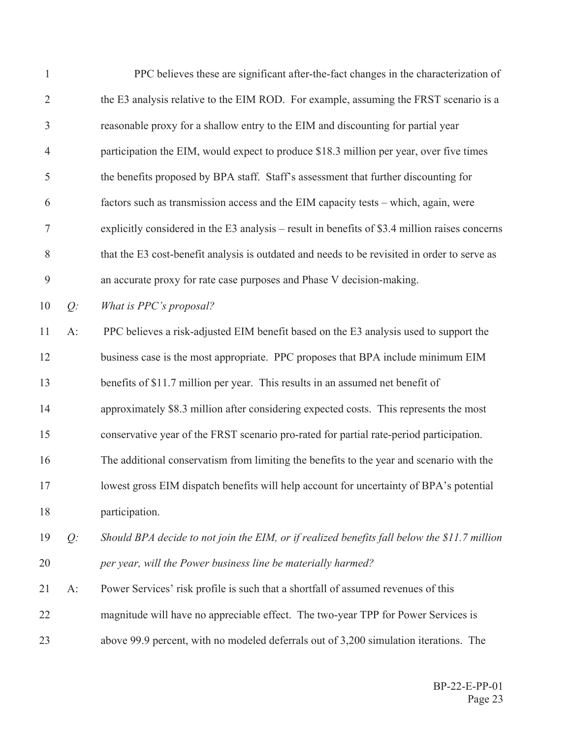| $\mathbf{1}$   |       | PPC believes these are significant after-the-fact changes in the characterization of           |
|----------------|-------|------------------------------------------------------------------------------------------------|
| $\overline{2}$ |       | the E3 analysis relative to the EIM ROD. For example, assuming the FRST scenario is a          |
| 3              |       | reasonable proxy for a shallow entry to the EIM and discounting for partial year               |
| $\overline{4}$ |       | participation the EIM, would expect to produce \$18.3 million per year, over five times        |
| 5              |       | the benefits proposed by BPA staff. Staff's assessment that further discounting for            |
| 6              |       | factors such as transmission access and the EIM capacity tests - which, again, were            |
| $\tau$         |       | explicitly considered in the E3 analysis – result in benefits of \$3.4 million raises concerns |
| 8              |       | that the E3 cost-benefit analysis is outdated and needs to be revisited in order to serve as   |
| 9              |       | an accurate proxy for rate case purposes and Phase V decision-making.                          |
| 10             | $Q$ : | What is PPC's proposal?                                                                        |
| 11             | $A$ : | PPC believes a risk-adjusted EIM benefit based on the E3 analysis used to support the          |
| 12             |       | business case is the most appropriate. PPC proposes that BPA include minimum EIM               |
| 13             |       | benefits of \$11.7 million per year. This results in an assumed net benefit of                 |
| 14             |       | approximately \$8.3 million after considering expected costs. This represents the most         |
| 15             |       | conservative year of the FRST scenario pro-rated for partial rate-period participation.        |
| 16             |       | The additional conservatism from limiting the benefits to the year and scenario with the       |
| 17             |       | lowest gross EIM dispatch benefits will help account for uncertainty of BPA's potential        |
| 18             |       | participation.                                                                                 |
| 19             | $Q$ : | Should BPA decide to not join the EIM, or if realized benefits fall below the \$11.7 million   |
| 20             |       | per year, will the Power business line be materially harmed?                                   |
| 21             | $A$ : | Power Services' risk profile is such that a shortfall of assumed revenues of this              |
| 22             |       | magnitude will have no appreciable effect. The two-year TPP for Power Services is              |
| 23             |       | above 99.9 percent, with no modeled deferrals out of 3,200 simulation iterations. The          |
|                |       |                                                                                                |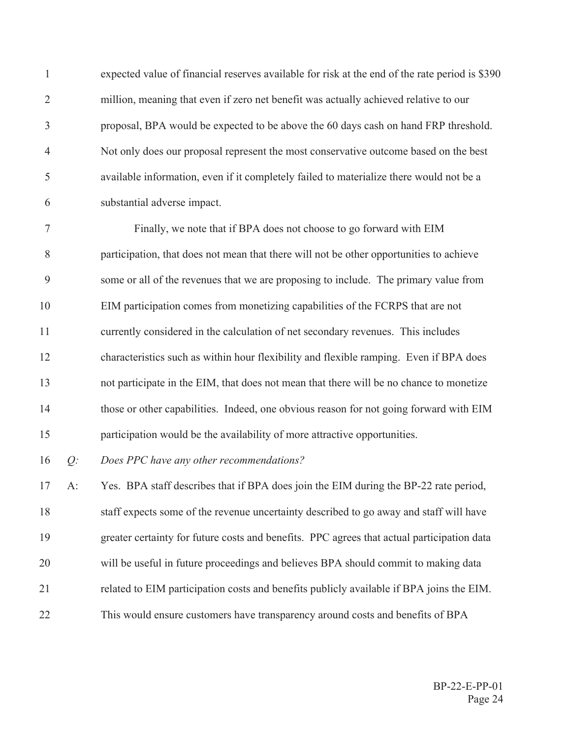$\mathbf{1}$ expected value of financial reserves available for risk at the end of the rate period is \$390  $\overline{2}$ million, meaning that even if zero net benefit was actually achieved relative to our 3 proposal, BPA would be expected to be above the 60 days cash on hand FRP threshold.  $\overline{4}$ Not only does our proposal represent the most conservative outcome based on the best 5 available information, even if it completely failed to materialize there would not be a 6 substantial adverse impact.

 $\tau$ Finally, we note that if BPA does not choose to go forward with EIM 8 participation, that does not mean that there will not be other opportunities to achieve 9 some or all of the revenues that we are proposing to include. The primary value from 10 EIM participation comes from monetizing capabilities of the FCRPS that are not 11 currently considered in the calculation of net secondary revenues. This includes 12 characteristics such as within hour flexibility and flexible ramping. Even if BPA does 13 not participate in the EIM, that does not mean that there will be no chance to monetize  $14$ those or other capabilities. Indeed, one obvious reason for not going forward with EIM 15 participation would be the availability of more attractive opportunities.

16  $O$ : Does PPC have any other recommendations?

17  $A$ : Yes. BPA staff describes that if BPA does join the EIM during the BP-22 rate period, 18 staff expects some of the revenue uncertainty described to go away and staff will have 19 greater certainty for future costs and benefits. PPC agrees that actual participation data 20 will be useful in future proceedings and believes BPA should commit to making data 21 related to EIM participation costs and benefits publicly available if BPA joins the EIM. 22 This would ensure customers have transparency around costs and benefits of BPA